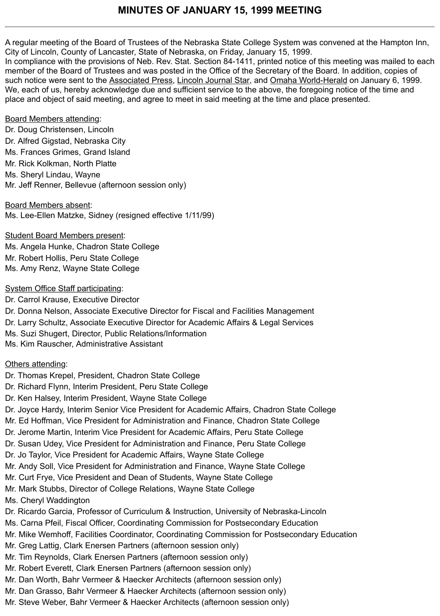## **MINUTES OF JANUARY 15, 1999 MEETING**

A regular meeting of the Board of Trustees of the Nebraska State College System was convened at the Hampton Inn, City of Lincoln, County of Lancaster, State of Nebraska, on Friday, January 15, 1999.

In compliance with the provisions of Neb. Rev. Stat. Section 84-1411, printed notice of this meeting was mailed to each member of the Board of Trustees and was posted in the Office of the Secretary of the Board. In addition, copies of such notice were sent to the Associated Press, Lincoln Journal Star, and Omaha World-Herald on January 6, 1999. We, each of us, hereby acknowledge due and sufficient service to the above, the foregoing notice of the time and place and object of said meeting, and agree to meet in said meeting at the time and place presented.

#### Board Members attending:

Dr. Doug Christensen, Lincoln Dr. Alfred Gigstad, Nebraska City Ms. Frances Grimes, Grand Island Mr. Rick Kolkman, North Platte Ms. Sheryl Lindau, Wayne Mr. Jeff Renner, Bellevue (afternoon session only)

Board Members absent: Ms. Lee-Ellen Matzke, Sidney (resigned effective 1/11/99)

Student Board Members present: Ms. Angela Hunke, Chadron State College Mr. Robert Hollis, Peru State College Ms. Amy Renz, Wayne State College

#### System Office Staff participating:

Dr. Carrol Krause, Executive Director Dr. Donna Nelson, Associate Executive Director for Fiscal and Facilities Management Dr. Larry Schultz, Associate Executive Director for Academic Affairs & Legal Services Ms. Suzi Shugert, Director, Public Relations/Information Ms. Kim Rauscher, Administrative Assistant

## Others attending:

- Dr. Thomas Krepel, President, Chadron State College
- Dr. Richard Flynn, Interim President, Peru State College
- Dr. Ken Halsey, Interim President, Wayne State College
- Dr. Joyce Hardy, Interim Senior Vice President for Academic Affairs, Chadron State College
- Mr. Ed Hoffman, Vice President for Administration and Finance, Chadron State College
- Dr. Jerome Martin, Interim Vice President for Academic Affairs, Peru State College
- Dr. Susan Udey, Vice President for Administration and Finance, Peru State College
- Dr. Jo Taylor, Vice President for Academic Affairs, Wayne State College
- Mr. Andy Soll, Vice President for Administration and Finance, Wayne State College
- Mr. Curt Frye, Vice President and Dean of Students, Wayne State College
- Mr. Mark Stubbs, Director of College Relations, Wayne State College
- Ms. Cheryl Waddington
- Dr. Ricardo Garcia, Professor of Curriculum & Instruction, University of Nebraska-Lincoln
- Ms. Carna Pfeil, Fiscal Officer, Coordinating Commission for Postsecondary Education
- Mr. Mike Wemhoff, Facilities Coordinator, Coordinating Commission for Postsecondary Education
- Mr. Greg Lattig, Clark Enersen Partners (afternoon session only)
- Mr. Tim Reynolds, Clark Enersen Partners (afternoon session only)
- Mr. Robert Everett, Clark Enersen Partners (afternoon session only)
- Mr. Dan Worth, Bahr Vermeer & Haecker Architects (afternoon session only)
- Mr. Dan Grasso, Bahr Vermeer & Haecker Architects (afternoon session only)
- Mr. Steve Weber, Bahr Vermeer & Haecker Architects (afternoon session only)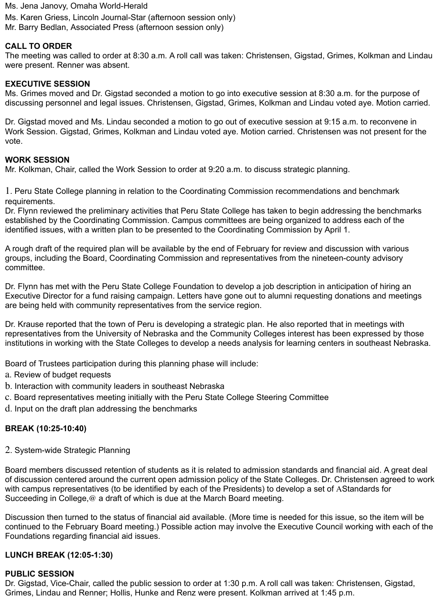Ms. Jena Janovy, Omaha World-Herald

Ms. Karen Griess, Lincoln Journal-Star (afternoon session only) Mr. Barry Bedlan, Associated Press (afternoon session only)

## **CALL TO ORDER**

The meeting was called to order at 8:30 a.m. A roll call was taken: Christensen, Gigstad, Grimes, Kolkman and Lindau were present. Renner was absent.

#### **EXECUTIVE SESSION**

Ms. Grimes moved and Dr. Gigstad seconded a motion to go into executive session at 8:30 a.m. for the purpose of discussing personnel and legal issues. Christensen, Gigstad, Grimes, Kolkman and Lindau voted aye. Motion carried.

Dr. Gigstad moved and Ms. Lindau seconded a motion to go out of executive session at 9:15 a.m. to reconvene in Work Session. Gigstad, Grimes, Kolkman and Lindau voted aye. Motion carried. Christensen was not present for the vote.

#### **WORK SESSION**

Mr. Kolkman, Chair, called the Work Session to order at 9:20 a.m. to discuss strategic planning.

1. Peru State College planning in relation to the Coordinating Commission recommendations and benchmark requirements.

Dr. Flynn reviewed the preliminary activities that Peru State College has taken to begin addressing the benchmarks established by the Coordinating Commission. Campus committees are being organized to address each of the identified issues, with a written plan to be presented to the Coordinating Commission by April 1.

A rough draft of the required plan will be available by the end of February for review and discussion with various groups, including the Board, Coordinating Commission and representatives from the nineteen-county advisory committee.

Dr. Flynn has met with the Peru State College Foundation to develop a job description in anticipation of hiring an Executive Director for a fund raising campaign. Letters have gone out to alumni requesting donations and meetings are being held with community representatives from the service region.

Dr. Krause reported that the town of Peru is developing a strategic plan. He also reported that in meetings with representatives from the University of Nebraska and the Community Colleges interest has been expressed by those institutions in working with the State Colleges to develop a needs analysis for learning centers in southeast Nebraska.

Board of Trustees participation during this planning phase will include:

- a. Review of budget requests
- b. Interaction with community leaders in southeast Nebraska
- c. Board representatives meeting initially with the Peru State College Steering Committee
- d. Input on the draft plan addressing the benchmarks

## **BREAK (10:25-10:40)**

2. System-wide Strategic Planning

Board members discussed retention of students as it is related to admission standards and financial aid. A great deal of discussion centered around the current open admission policy of the State Colleges. Dr. Christensen agreed to work with campus representatives (to be identified by each of the Presidents) to develop a set of AStandards for Succeeding in College, @ a draft of which is due at the March Board meeting.

Discussion then turned to the status of financial aid available. (More time is needed for this issue, so the item will be continued to the February Board meeting.) Possible action may involve the Executive Council working with each of the Foundations regarding financial aid issues.

#### **LUNCH BREAK (12:05-1:30)**

#### **PUBLIC SESSION**

Dr. Gigstad, Vice-Chair, called the public session to order at 1:30 p.m. A roll call was taken: Christensen, Gigstad, Grimes, Lindau and Renner; Hollis, Hunke and Renz were present. Kolkman arrived at 1:45 p.m.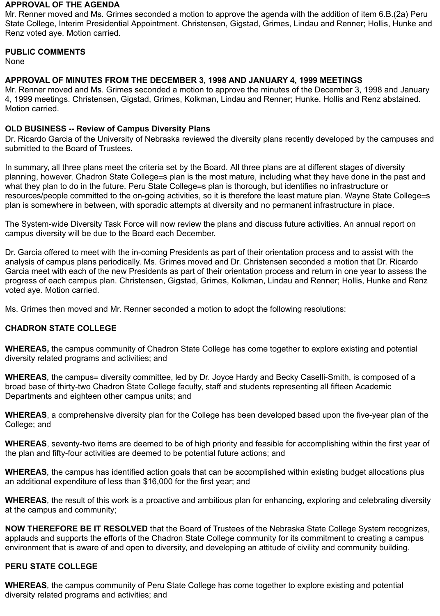#### **APPROVAL OF THE AGENDA**

Mr. Renner moved and Ms. Grimes seconded a motion to approve the agenda with the addition of item 6.B.(2a) Peru State College, Interim Presidential Appointment. Christensen, Gigstad, Grimes, Lindau and Renner; Hollis, Hunke and Renz voted aye. Motion carried.

#### **PUBLIC COMMENTS**

None

## **APPROVAL OF MINUTES FROM THE DECEMBER 3, 1998 AND JANUARY 4, 1999 MEETINGS**

Mr. Renner moved and Ms. Grimes seconded a motion to approve the minutes of the December 3, 1998 and January 4, 1999 meetings. Christensen, Gigstad, Grimes, Kolkman, Lindau and Renner; Hunke. Hollis and Renz abstained. Motion carried.

#### **OLD BUSINESS -- Review of Campus Diversity Plans**

Dr. Ricardo Garcia of the University of Nebraska reviewed the diversity plans recently developed by the campuses and submitted to the Board of Trustees.

In summary, all three plans meet the criteria set by the Board. All three plans are at different stages of diversity planning, however. Chadron State College=s plan is the most mature, including what they have done in the past and what they plan to do in the future. Peru State College=s plan is thorough, but identifies no infrastructure or resources/people committed to the on-going activities, so it is therefore the least mature plan. Wayne State College=s plan is somewhere in between, with sporadic attempts at diversity and no permanent infrastructure in place.

The System-wide Diversity Task Force will now review the plans and discuss future activities. An annual report on campus diversity will be due to the Board each December.

Dr. Garcia offered to meet with the in-coming Presidents as part of their orientation process and to assist with the analysis of campus plans periodically. Ms. Grimes moved and Dr. Christensen seconded a motion that Dr. Ricardo Garcia meet with each of the new Presidents as part of their orientation process and return in one year to assess the progress of each campus plan. Christensen, Gigstad, Grimes, Kolkman, Lindau and Renner; Hollis, Hunke and Renz voted aye. Motion carried.

Ms. Grimes then moved and Mr. Renner seconded a motion to adopt the following resolutions:

## **CHADRON STATE COLLEGE**

**WHEREAS,** the campus community of Chadron State College has come together to explore existing and potential diversity related programs and activities; and

**WHEREAS**, the campus= diversity committee, led by Dr. Joyce Hardy and Becky Caselli-Smith, is composed of a broad base of thirty-two Chadron State College faculty, staff and students representing all fifteen Academic Departments and eighteen other campus units; and

**WHEREAS**, a comprehensive diversity plan for the College has been developed based upon the five-year plan of the College; and

**WHEREAS**, seventy-two items are deemed to be of high priority and feasible for accomplishing within the first year of the plan and fifty-four activities are deemed to be potential future actions; and

**WHEREAS***,* the campus has identified action goals that can be accomplished within existing budget allocations plus an additional expenditure of less than \$16,000 for the first year; and

**WHEREAS***,* the result of this work is a proactive and ambitious plan for enhancing, exploring and celebrating diversity at the campus and community;

**NOW THEREFORE BE IT RESOLVED** that the Board of Trustees of the Nebraska State College System recognizes, applauds and supports the efforts of the Chadron State College community for its commitment to creating a campus environment that is aware of and open to diversity, and developing an attitude of civility and community building.

## **PERU STATE COLLEGE**

**WHEREAS***,* the campus community of Peru State College has come together to explore existing and potential diversity related programs and activities; and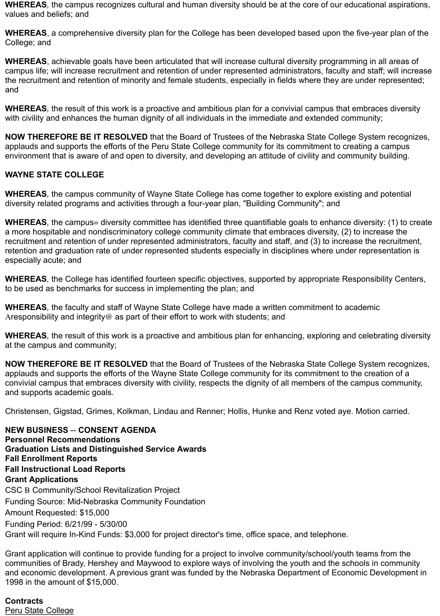**WHEREAS***,* the campus recognizes cultural and human diversity should be at the core of our educational aspirations, values and beliefs; and

**WHEREAS**, a comprehensive diversity plan for the College has been developed based upon the five-year plan of the College; and

**WHEREAS**, achievable goals have been articulated that will increase cultural diversity programming in all areas of campus life; will increase recruitment and retention of under represented administrators, faculty and staff; will increase the recruitment and retention of minority and female students, especially in fields where they are under represented; and

**WHEREAS***,* the result of this work is a proactive and ambitious plan for a convivial campus that embraces diversity with civility and enhances the human dignity of all individuals in the immediate and extended community;

**NOW THEREFORE BE IT RESOLVED** that the Board of Trustees of the Nebraska State College System recognizes, applauds and supports the efforts of the Peru State College community for its commitment to creating a campus environment that is aware of and open to diversity, and developing an attitude of civility and community building.

## **WAYNE STATE COLLEGE**

**WHEREAS***,* the campus community of Wayne State College has come together to explore existing and potential diversity related programs and activities through a four-year plan, "Building Community"; and

**WHEREAS**, the campus= diversity committee has identified three quantifiable goals to enhance diversity: (1) to create a more hospitable and nondiscriminatory college community climate that embraces diversity, (2) to increase the recruitment and retention of under represented administrators, faculty and staff, and (3) to increase the recruitment, retention and graduation rate of under represented students especially in disciplines where under representation is especially acute; and

**WHEREAS***,* the College has identified fourteen specific objectives, supported by appropriate Responsibility Centers, to be used as benchmarks for success in implementing the plan; and

**WHEREAS***,* the faculty and staff of Wayne State College have made a written commitment to academic Aresponsibility and integrity@ as part of their effort to work with students; and

**WHEREAS***,* the result of this work is a proactive and ambitious plan for enhancing, exploring and celebrating diversity at the campus and community;

**NOW THEREFORE BE IT RESOLVED** that the Board of Trustees of the Nebraska State College System recognizes, applauds and supports the efforts of the Wayne State College community for its commitment to the creation of a convivial campus that embraces diversity with civility, respects the dignity of all members of the campus community, and supports academic goals.

Christensen, Gigstad, Grimes, Kolkman, Lindau and Renner; Hollis, Hunke and Renz voted aye. Motion carried.

**NEW BUSINESS** -- **CONSENT AGENDA Personnel Recommendations Graduation Lists and Distinguished Service Awards Fall Enrollment Reports Fall Instructional Load Reports Grant Applications** CSC B Community/School Revitalization Project Funding Source: Mid-Nebraska Community Foundation Amount Requested: \$15,000 Funding Period: 6/21/99 - 5/30/00 Grant will require In-Kind Funds: \$3,000 for project director's time, office space, and telephone.

Grant application will continue to provide funding for a project to involve community/school/youth teams from the communities of Brady, Hershey and Maywood to explore ways of involving the youth and the schools in community and economic development. A previous grant was funded by the Nebraska Department of Economic Development in 1998 in the amount of \$15,000.

## **Contracts**

Peru State College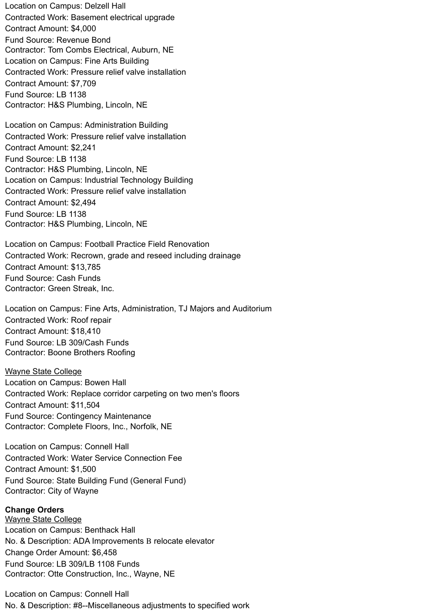Location on Campus: Delzell Hall Contracted Work: Basement electrical upgrade Contract Amount: \$4,000 Fund Source: Revenue Bond Contractor: Tom Combs Electrical, Auburn, NE Location on Campus: Fine Arts Building Contracted Work: Pressure relief valve installation Contract Amount: \$7,709 Fund Source: LB 1138 Contractor: H&S Plumbing, Lincoln, NE

Location on Campus: Administration Building Contracted Work: Pressure relief valve installation Contract Amount: \$2,241 Fund Source: LB 1138 Contractor: H&S Plumbing, Lincoln, NE Location on Campus: Industrial Technology Building Contracted Work: Pressure relief valve installation Contract Amount: \$2,494 Fund Source: LB 1138 Contractor: H&S Plumbing, Lincoln, NE

Location on Campus: Football Practice Field Renovation Contracted Work: Recrown, grade and reseed including drainage Contract Amount: \$13,785 Fund Source: Cash Funds Contractor: Green Streak, Inc.

Location on Campus: Fine Arts, Administration, TJ Majors and Auditorium Contracted Work: Roof repair Contract Amount: \$18,410 Fund Source: LB 309/Cash Funds Contractor: Boone Brothers Roofing

Wayne State College Location on Campus: Bowen Hall Contracted Work: Replace corridor carpeting on two men's floors Contract Amount: \$11,504 Fund Source: Contingency Maintenance Contractor: Complete Floors, Inc., Norfolk, NE

Location on Campus: Connell Hall Contracted Work: Water Service Connection Fee Contract Amount: \$1,500 Fund Source: State Building Fund (General Fund) Contractor: City of Wayne

#### **Change Orders**

Wayne State College Location on Campus: Benthack Hall No. & Description: ADA Improvements B relocate elevator Change Order Amount: \$6,458 Fund Source: LB 309/LB 1108 Funds Contractor: Otte Construction, Inc., Wayne, NE

Location on Campus: Connell Hall No. & Description: #8--Miscellaneous adjustments to specified work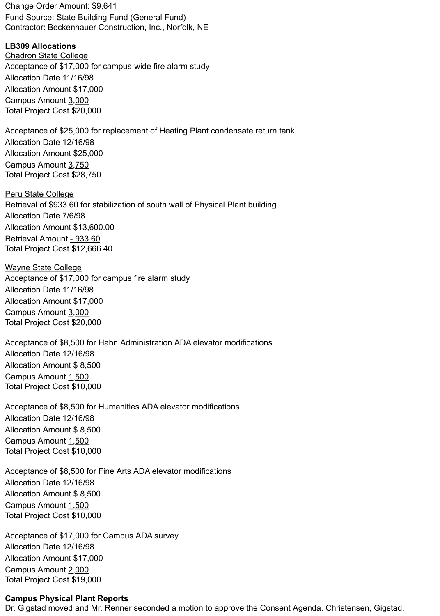Change Order Amount: \$9,641 Fund Source: State Building Fund (General Fund) Contractor: Beckenhauer Construction, Inc., Norfolk, NE

**LB309 Allocations**

Chadron State College Acceptance of \$17,000 for campus-wide fire alarm study Allocation Date 11/16/98 Allocation Amount \$17,000 Campus Amount 3,000 Total Project Cost \$20,000

Acceptance of \$25,000 for replacement of Heating Plant condensate return tank Allocation Date 12/16/98 Allocation Amount \$25,000 Campus Amount 3,750 Total Project Cost \$28,750

**Peru State College** Retrieval of \$933.60 for stabilization of south wall of Physical Plant building Allocation Date 7/6/98 Allocation Amount \$13,600.00 Retrieval Amount - 933.60 Total Project Cost \$12,666.40

Wayne State College Acceptance of \$17,000 for campus fire alarm study Allocation Date 11/16/98 Allocation Amount \$17,000 Campus Amount 3,000 Total Project Cost \$20,000

Acceptance of \$8,500 for Hahn Administration ADA elevator modifications Allocation Date 12/16/98 Allocation Amount \$ 8,500 Campus Amount 1,500 Total Project Cost \$10,000

Acceptance of \$8,500 for Humanities ADA elevator modifications Allocation Date 12/16/98 Allocation Amount \$ 8,500 Campus Amount 1,500 Total Project Cost \$10,000

Acceptance of \$8,500 for Fine Arts ADA elevator modifications Allocation Date 12/16/98 Allocation Amount \$ 8,500 Campus Amount 1,500 Total Project Cost \$10,000

Acceptance of \$17,000 for Campus ADA survey Allocation Date 12/16/98 Allocation Amount \$17,000 Campus Amount 2,000 Total Project Cost \$19,000

## **Campus Physical Plant Reports**

Dr. Gigstad moved and Mr. Renner seconded a motion to approve the Consent Agenda. Christensen, Gigstad,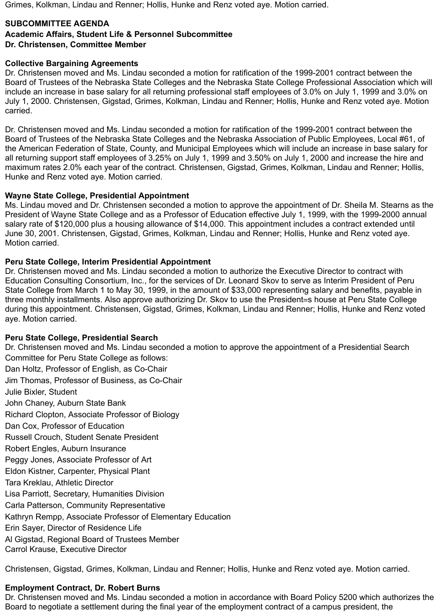Grimes, Kolkman, Lindau and Renner; Hollis, Hunke and Renz voted aye. Motion carried.

#### **SUBCOMMITTEE AGENDA**

#### **Academic Affairs, Student Life & Personnel Subcommittee Dr. Christensen, Committee Member**

#### **Collective Bargaining Agreements**

Dr. Christensen moved and Ms. Lindau seconded a motion for ratification of the 1999-2001 contract between the Board of Trustees of the Nebraska State Colleges and the Nebraska State College Professional Association which will include an increase in base salary for all returning professional staff employees of 3.0% on July 1, 1999 and 3.0% on July 1, 2000. Christensen, Gigstad, Grimes, Kolkman, Lindau and Renner; Hollis, Hunke and Renz voted aye. Motion carried.

Dr. Christensen moved and Ms. Lindau seconded a motion for ratification of the 1999-2001 contract between the Board of Trustees of the Nebraska State Colleges and the Nebraska Association of Public Employees, Local #61, of the American Federation of State, County, and Municipal Employees which will include an increase in base salary for all returning support staff employees of 3.25% on July 1, 1999 and 3.50% on July 1, 2000 and increase the hire and maximum rates 2.0% each year of the contract. Christensen, Gigstad, Grimes, Kolkman, Lindau and Renner; Hollis, Hunke and Renz voted aye. Motion carried.

#### **Wayne State College, Presidential Appointment**

Ms. Lindau moved and Dr. Christensen seconded a motion to approve the appointment of Dr. Sheila M. Stearns as the President of Wayne State College and as a Professor of Education effective July 1, 1999, with the 1999-2000 annual salary rate of \$120,000 plus a housing allowance of \$14,000. This appointment includes a contract extended until June 30, 2001. Christensen, Gigstad, Grimes, Kolkman, Lindau and Renner; Hollis, Hunke and Renz voted aye. Motion carried.

#### **Peru State College, Interim Presidential Appointment**

Dr. Christensen moved and Ms. Lindau seconded a motion to authorize the Executive Director to contract with Education Consulting Consortium, Inc., for the services of Dr. Leonard Skov to serve as Interim President of Peru State College from March 1 to May 30, 1999, in the amount of \$33,000 representing salary and benefits, payable in three monthly installments. Also approve authorizing Dr. Skov to use the President=s house at Peru State College during this appointment. Christensen, Gigstad, Grimes, Kolkman, Lindau and Renner; Hollis, Hunke and Renz voted aye. Motion carried.

#### **Peru State College, Presidential Search**

Dr. Christensen moved and Ms. Lindau seconded a motion to approve the appointment of a Presidential Search Committee for Peru State College as follows: Dan Holtz, Professor of English, as Co-Chair Jim Thomas, Professor of Business, as Co-Chair Julie Bixler, Student John Chaney, Auburn State Bank Richard Clopton, Associate Professor of Biology Dan Cox, Professor of Education Russell Crouch, Student Senate President Robert Engles, Auburn Insurance Peggy Jones, Associate Professor of Art Eldon Kistner, Carpenter, Physical Plant Tara Kreklau, Athletic Director Lisa Parriott, Secretary, Humanities Division Carla Patterson, Community Representative Kathryn Rempp, Associate Professor of Elementary Education Erin Sayer, Director of Residence Life Al Gigstad, Regional Board of Trustees Member Carrol Krause, Executive Director

Christensen, Gigstad, Grimes, Kolkman, Lindau and Renner; Hollis, Hunke and Renz voted aye. Motion carried.

## **Employment Contract, Dr. Robert Burns**

Dr. Christensen moved and Ms. Lindau seconded a motion in accordance with Board Policy 5200 which authorizes the Board to negotiate a settlement during the final year of the employment contract of a campus president, the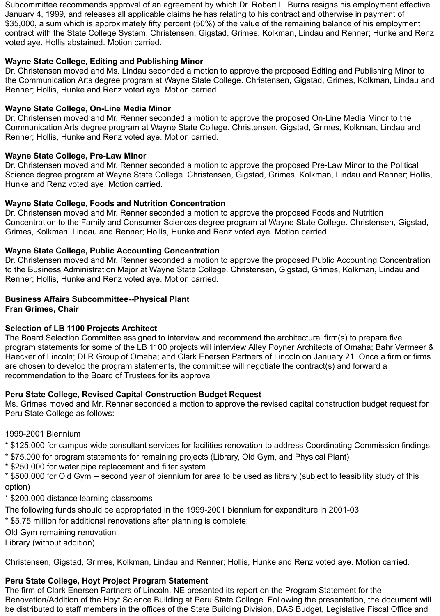Subcommittee recommends approval of an agreement by which Dr. Robert L. Burns resigns his employment effective January 4, 1999, and releases all applicable claims he has relating to his contract and otherwise in payment of \$35,000, a sum which is approximately fifty percent (50%) of the value of the remaining balance of his employment contract with the State College System. Christensen, Gigstad, Grimes, Kolkman, Lindau and Renner; Hunke and Renz voted aye. Hollis abstained. Motion carried.

#### **Wayne State College, Editing and Publishing Minor**

Dr. Christensen moved and Ms. Lindau seconded a motion to approve the proposed Editing and Publishing Minor to the Communication Arts degree program at Wayne State College. Christensen, Gigstad, Grimes, Kolkman, Lindau and Renner; Hollis, Hunke and Renz voted aye. Motion carried.

#### **Wayne State College, On-Line Media Minor**

Dr. Christensen moved and Mr. Renner seconded a motion to approve the proposed On-Line Media Minor to the Communication Arts degree program at Wayne State College. Christensen, Gigstad, Grimes, Kolkman, Lindau and Renner; Hollis, Hunke and Renz voted aye. Motion carried.

#### **Wayne State College, Pre-Law Minor**

Dr. Christensen moved and Mr. Renner seconded a motion to approve the proposed Pre-Law Minor to the Political Science degree program at Wayne State College. Christensen, Gigstad, Grimes, Kolkman, Lindau and Renner; Hollis, Hunke and Renz voted aye. Motion carried.

#### **Wayne State College, Foods and Nutrition Concentration**

Dr. Christensen moved and Mr. Renner seconded a motion to approve the proposed Foods and Nutrition Concentration to the Family and Consumer Sciences degree program at Wayne State College. Christensen, Gigstad, Grimes, Kolkman, Lindau and Renner; Hollis, Hunke and Renz voted aye. Motion carried.

#### **Wayne State College, Public Accounting Concentration**

Dr. Christensen moved and Mr. Renner seconded a motion to approve the proposed Public Accounting Concentration to the Business Administration Major at Wayne State College. Christensen, Gigstad, Grimes, Kolkman, Lindau and Renner; Hollis, Hunke and Renz voted aye. Motion carried.

# **Business Affairs Subcommittee--Physical Plant**

**Fran Grimes, Chair**

## **Selection of LB 1100 Projects Architect**

The Board Selection Committee assigned to interview and recommend the architectural firm(s) to prepare five program statements for some of the LB 1100 projects will interview Alley Poyner Architects of Omaha; Bahr Vermeer & Haecker of Lincoln; DLR Group of Omaha; and Clark Enersen Partners of Lincoln on January 21. Once a firm or firms are chosen to develop the program statements, the committee will negotiate the contract(s) and forward a recommendation to the Board of Trustees for its approval.

## **Peru State College, Revised Capital Construction Budget Request**

Ms. Grimes moved and Mr. Renner seconded a motion to approve the revised capital construction budget request for Peru State College as follows:

1999-2001 Biennium

- \* \$125,000 for campus-wide consultant services for facilities renovation to address Coordinating Commission findings
- \* \$75,000 for program statements for remaining projects (Library, Old Gym, and Physical Plant)
- \* \$250,000 for water pipe replacement and filter system

\* \$500,000 for Old Gym -- second year of biennium for area to be used as library (subject to feasibility study of this option)

\* \$200,000 distance learning classrooms

The following funds should be appropriated in the 1999-2001 biennium for expenditure in 2001-03:

\* \$5.75 million for additional renovations after planning is complete:

Old Gym remaining renovation

Library (without addition)

Christensen, Gigstad, Grimes, Kolkman, Lindau and Renner; Hollis, Hunke and Renz voted aye. Motion carried.

#### **Peru State College, Hoyt Project Program Statement**

The firm of Clark Enersen Partners of Lincoln, NE presented its report on the Program Statement for the Renovation/Addition of the Hoyt Science Building at Peru State College. Following the presentation, the document will be distributed to staff members in the offices of the State Building Division, DAS Budget, Legislative Fiscal Office and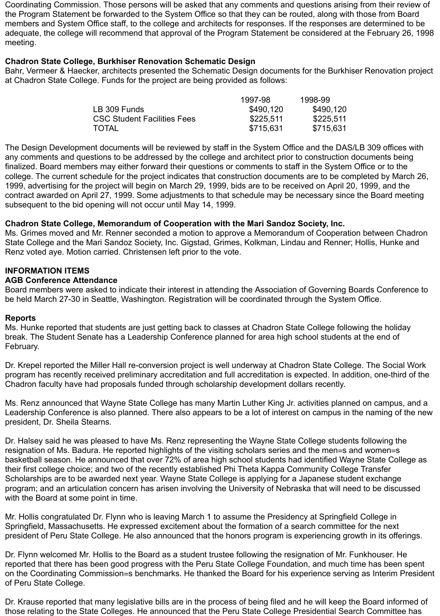Coordinating Commission. Those persons will be asked that any comments and questions arising from their review of the Program Statement be forwarded to the System Office so that they can be routed, along with those from Board members and System Office staff, to the college and architects for responses. If the responses are determined to be adequate, the college will recommend that approval of the Program Statement be considered at the February 26, 1998 meeting.

#### **Chadron State College, Burkhiser Renovation Schematic Design**

Bahr, Vermeer & Haecker, architects presented the Schematic Design documents for the Burkhiser Renovation project at Chadron State College. Funds for the project are being provided as follows:

|                                    | 1997-98   | 1998-99   |
|------------------------------------|-----------|-----------|
| LB 309 Funds                       | \$490,120 | \$490,120 |
| <b>CSC Student Facilities Fees</b> | \$225,511 | \$225,511 |
| <b>TOTAL</b>                       | \$715,631 | \$715,631 |

The Design Development documents will be reviewed by staff in the System Office and the DAS/LB 309 offices with any comments and questions to be addressed by the college and architect prior to construction documents being finalized. Board members may either forward their questions or comments to staff in the System Office or to the college. The current schedule for the project indicates that construction documents are to be completed by March 26, 1999, advertising for the project will begin on March 29, 1999, bids are to be received on April 20, 1999, and the contract awarded on April 27, 1999. Some adjustments to that schedule may be necessary since the Board meeting subsequent to the bid opening will not occur until May 14, 1999.

#### **Chadron State College, Memorandum of Cooperation with the Mari Sandoz Society, Inc.**

Ms. Grimes moved and Mr. Renner seconded a motion to approve a Memorandum of Cooperation between Chadron State College and the Mari Sandoz Society, Inc. Gigstad, Grimes, Kolkman, Lindau and Renner; Hollis, Hunke and Renz voted aye. Motion carried. Christensen left prior to the vote.

#### **INFORMATION ITEMS**

#### **AGB Conference Attendance**

Board members were asked to indicate their interest in attending the Association of Governing Boards Conference to be held March 27-30 in Seattle, Washington. Registration will be coordinated through the System Office.

#### **Reports**

Ms. Hunke reported that students are just getting back to classes at Chadron State College following the holiday break. The Student Senate has a Leadership Conference planned for area high school students at the end of February.

Dr. Krepel reported the Miller Hall re-conversion project is well underway at Chadron State College. The Social Work program has recently received preliminary accreditation and full accreditation is expected. In addition, one-third of the Chadron faculty have had proposals funded through scholarship development dollars recently.

Ms. Renz announced that Wayne State College has many Martin Luther King Jr. activities planned on campus, and a Leadership Conference is also planned. There also appears to be a lot of interest on campus in the naming of the new president, Dr. Sheila Stearns.

Dr. Halsey said he was pleased to have Ms. Renz representing the Wayne State College students following the resignation of Ms. Badura. He reported highlights of the visiting scholars series and the men=s and women=s basketball season. He announced that over 72% of area high school students had identified Wayne State College as their first college choice; and two of the recently established Phi Theta Kappa Community College Transfer Scholarships are to be awarded next year. Wayne State College is applying for a Japanese student exchange program; and an articulation concern has arisen involving the University of Nebraska that will need to be discussed with the Board at some point in time.

Mr. Hollis congratulated Dr. Flynn who is leaving March 1 to assume the Presidency at Springfield College in Springfield, Massachusetts. He expressed excitement about the formation of a search committee for the next president of Peru State College. He also announced that the honors program is experiencing growth in its offerings.

Dr. Flynn welcomed Mr. Hollis to the Board as a student trustee following the resignation of Mr. Funkhouser. He reported that there has been good progress with the Peru State College Foundation, and much time has been spent on the Coordinating Commission=s benchmarks. He thanked the Board for his experience serving as Interim President of Peru State College.

Dr. Krause reported that many legislative bills are in the process of being filed and he will keep the Board informed of those relating to the State Colleges. He announced that the Peru State College Presidential Search Committee has